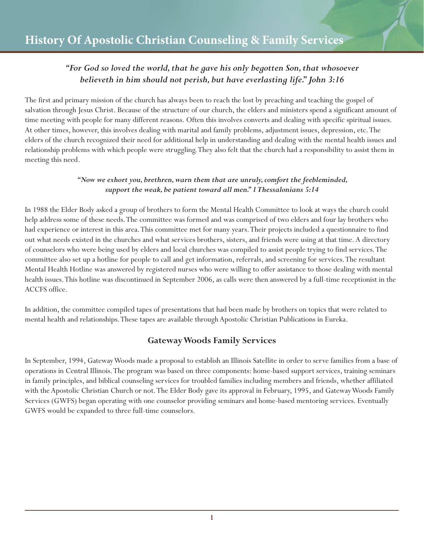# *"For God so loved the world, that he gave his only begotten Son, that whosoever believeth in him should not perish, but have everlasting life." John 3:16*

The first and primary mission of the church has always been to reach the lost by preaching and teaching the gospel of salvation through Jesus Christ. Because of the structure of our church, the elders and ministers spend a significant amount of time meeting with people for many different reasons. Often this involves converts and dealing with specific spiritual issues. At other times, however, this involves dealing with marital and family problems, adjustment issues, depression, etc. The elders of the church recognized their need for additional help in understanding and dealing with the mental health issues and relationship problems with which people were struggling. They also felt that the church had a responsibility to assist them in meeting this need.

#### *"Now we exhort you, brethren, warn them that are unruly, comfort the feebleminded, support the weak, be patient toward all men." 1 Thessalonians 5:14*

In 1988 the Elder Body asked a group of brothers to form the Mental Health Committee to look at ways the church could help address some of these needs. The committee was formed and was comprised of two elders and four lay brothers who had experience or interest in this area. This committee met for many years. Their projects included a questionnaire to find out what needs existed in the churches and what services brothers, sisters, and friends were using at that time. A directory of counselors who were being used by elders and local churches was compiled to assist people trying to find services. The committee also set up a hotline for people to call and get information, referrals, and screening for services. The resultant Mental Health Hotline was answered by registered nurses who were willing to offer assistance to those dealing with mental health issues. This hotline was discontinued in September 2006, as calls were then answered by a full-time receptionist in the ACCFS office.

In addition, the committee compiled tapes of presentations that had been made by brothers on topics that were related to mental health and relationships. These tapes are available through Apostolic Christian Publications in Eureka.

## **Gateway Woods Family Services**

In September, 1994, Gateway Woods made a proposal to establish an Illinois Satellite in order to serve families from a base of operations in Central Illinois. The program was based on three components: home-based support services, training seminars in family principles, and biblical counseling services for troubled families including members and friends, whether affiliated with the Apostolic Christian Church or not. The Elder Body gave its approval in February, 1995, and Gateway Woods Family Services (GWFS) began operating with one counselor providing seminars and home-based mentoring services. Eventually GWFS would be expanded to three full-time counselors.